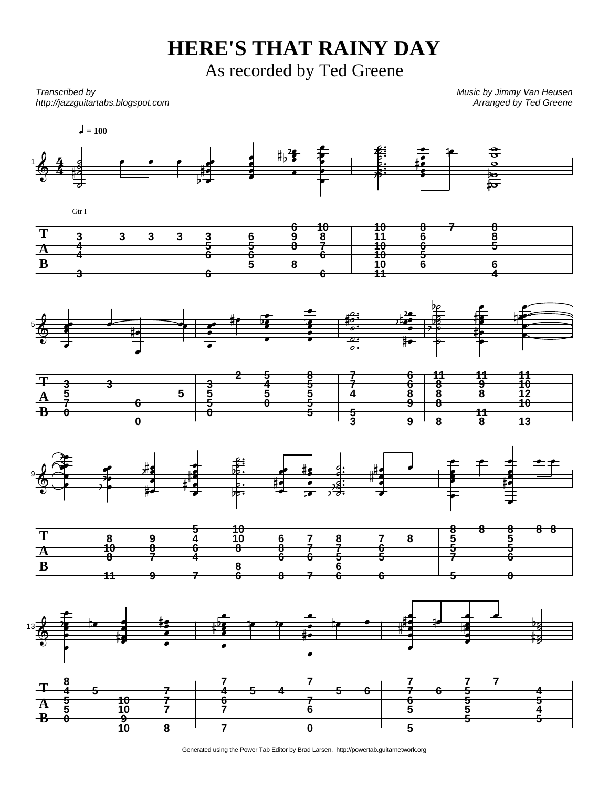## **HERE'S THAT RAINY DAY**

As recorded by Ted Greene

Transcribed by http://jazzguitartabs.blogspot.com Music by Jimmy Van Heusen Arranged by Ted Greene



Generated using the Power Tab Editor by Brad Larsen. http://powertab.guitarnetwork.org